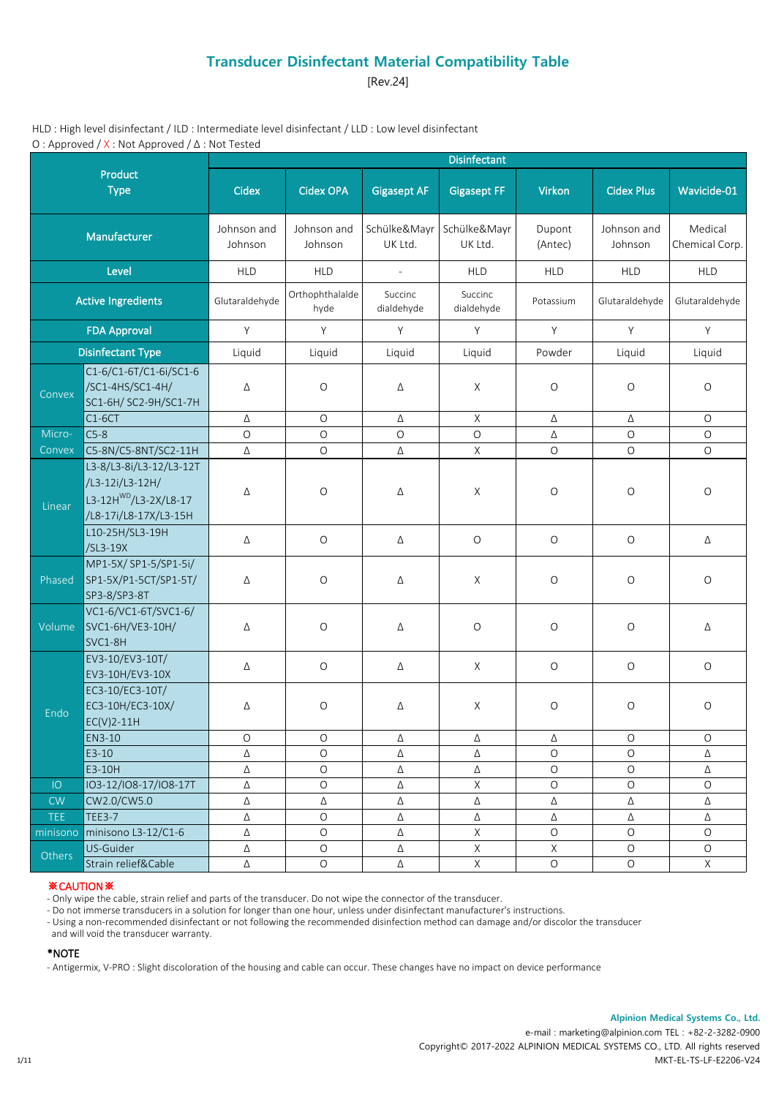[Rev.24]

HLD : High level disinfectant / ILD : Intermediate level disinfectant / LLD : Low level disinfectant O : Approved / X : Not Approved / Δ : Not Tested

|                           |                                                                                                          |                        |                          |                          | <b>Disinfectant</b>         |                           |                        |                           |
|---------------------------|----------------------------------------------------------------------------------------------------------|------------------------|--------------------------|--------------------------|-----------------------------|---------------------------|------------------------|---------------------------|
|                           | Product<br><b>Type</b>                                                                                   | Cidex                  | <b>Cidex OPA</b>         | <b>Gigasept AF</b>       | <b>Gigasept FF</b>          | Virkon                    | <b>Cidex Plus</b>      | Wavicide-01               |
|                           | Manufacturer                                                                                             | Johnson and<br>Johnson | Johnson and<br>Johnson   | Schülke&Mayr<br>UK Ltd.  | Schülke&Mayr<br>UK Ltd.     | Dupont<br>(Antec)         | Johnson and<br>Johnson | Medical<br>Chemical Corp. |
|                           | Level                                                                                                    | <b>HLD</b>             | <b>HLD</b>               | $\overline{\phantom{a}}$ | <b>HLD</b>                  | <b>HLD</b>                | <b>HLD</b>             | <b>HLD</b>                |
| <b>Active Ingredients</b> |                                                                                                          | Glutaraldehyde         | Orthophthalalde<br>hyde  | Succinc<br>dialdehyde    | Succinc<br>dialdehyde       | Potassium                 | Glutaraldehyde         | Glutaraldehyde            |
| <b>FDA Approval</b>       |                                                                                                          | Y                      | Y                        | Y                        | Y                           | Y                         | Y                      | Y                         |
| <b>Disinfectant Type</b>  |                                                                                                          | Liquid                 | Liquid                   | Liquid                   | Liquid                      | Powder                    | Liquid                 | Liquid                    |
| Convex                    | C1-6/C1-6T/C1-6i/SC1-6<br>/SC1-4HS/SC1-4H/<br>SC1-6H/ SC2-9H/SC1-7H                                      | Δ                      | $\circ$                  | Δ                        | X                           | $\circ$                   | $\circ$                | $\circ$                   |
|                           | $C1-6CT$                                                                                                 | Δ                      | $\circ$                  | Δ                        | X                           | Δ                         | Δ                      | $\circ$                   |
| Micro-                    | $C5-8$                                                                                                   | $\circ$                | $\circ$                  | $\circ$                  | $\circ$                     | Δ                         | $\circ$                | $\circ$                   |
| Convex                    | C5-8N/C5-8NT/SC2-11H                                                                                     | Δ                      | $\mathsf O$              | Δ                        | $\mathsf X$                 | $\circ$                   | $\circ$                | $\bigcirc$                |
| Linear                    | L3-8/L3-8i/L3-12/L3-12T<br>/L3-12i/L3-12H/<br>L3-12H <sup>WD</sup> /L3-2X/L8-17<br>/L8-17i/L8-17X/L3-15H | Δ                      | $\bigcirc$               | Δ                        | X                           | $\circ$                   | $\circ$                | $\circ$                   |
|                           | L10-25H/SL3-19H<br>/SL3-19X                                                                              | Δ                      | $\circ$                  | Δ                        | $\circ$                     | $\circ$                   | $\circ$                | Δ                         |
| Phased                    | MP1-5X/ SP1-5/SP1-5i/<br>SP1-5X/P1-5CT/SP1-5T/<br>SP3-8/SP3-8T                                           | Δ                      | $\mathsf O$              | Δ                        | X                           | $\circ$                   | $\circ$                | $\bigcirc$                |
| Volume                    | VC1-6/VC1-6T/SVC1-6/<br>SVC1-6H/VE3-10H/<br>SVC1-8H                                                      | Δ                      | $\bigcirc$               | Δ                        | $\bigcirc$                  | $\bigcirc$                | $\bigcirc$             | Δ                         |
|                           | EV3-10/EV3-10T/<br>EV3-10H/EV3-10X                                                                       | Δ                      | $\bigcirc$               | Δ                        | X                           | $\bigcirc$                | $\bigcirc$             | $\circ$                   |
| Endo                      | EC3-10/EC3-10T/<br>EC3-10H/EC3-10X/<br>$EC(V)2-11H$                                                      | Δ                      | $\circ$                  | Δ                        | X                           | $\circ$                   | $\circ$                | $\bigcirc$                |
|                           | EN3-10                                                                                                   | O                      | O                        | Δ                        | Δ                           | Δ                         | O                      | O                         |
|                           | $E3-10$                                                                                                  | Δ                      | $\circ$                  | Δ                        | Δ                           | $\circ$                   | $\circ$                | Δ                         |
|                           | E3-10H                                                                                                   | Δ                      | $\bigcirc$               | Δ                        | Δ                           | $\circ$                   | $\circ$                | Δ                         |
| IO                        | IO3-12/IO8-17/IO8-17T                                                                                    | Δ                      | $\bigcirc$               | Δ                        | $\mathsf X$                 | $\bigcirc$                | $\bigcirc$             | O                         |
| CW                        | CW2.0/CW5.0                                                                                              | Δ                      | Δ                        | Δ                        | Δ                           | Δ                         | Δ                      | Δ                         |
| TEE.                      | <b>TEE3-7</b>                                                                                            | Δ                      | $\bigcirc$               | Δ                        | Δ                           | Δ                         | Δ                      | Δ                         |
| minisono                  | minisono L3-12/C1-6                                                                                      | Δ                      | $\bigcirc$               | Δ                        | $\mathsf X$                 | $\bigcirc$                | $\circ$                | $\circ$                   |
| Others                    | US-Guider<br>Strain relief&Cable                                                                         | Δ<br>Δ                 | $\bigcirc$<br>$\bigcirc$ | Δ<br>Δ                   | $\mathsf{X}$<br>$\mathsf X$ | $\mathsf X$<br>$\bigcirc$ | $\circ$<br>$\circ$     | $\circ$<br>X              |

## ※CAUTION※

- Only wipe the cable, strain relief and parts of the transducer. Do not wipe the connector of the transducer.

- Do not immerse transducers in a solution for longer than one hour, unless under disinfectant manufacturer's instructions.

- Using a non-recommended disinfectant or not following the recommended disinfection method can damage and/or discolor the transducer

and will void the transducer warranty.

#### \*NOTE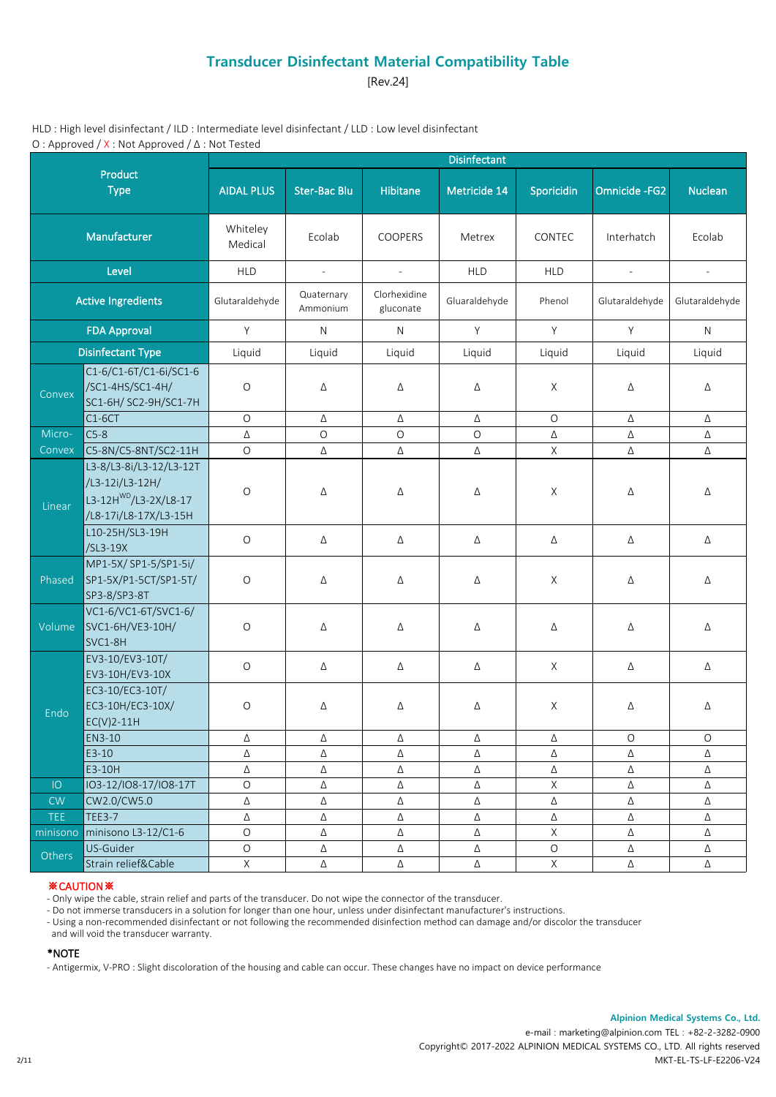[Rev.24]

HLD : High level disinfectant / ILD : Intermediate level disinfectant / LLD : Low level disinfectant O : Approved / X : Not Approved / Δ : Not Tested

|                           |                                                                                                          |                     |                          |                           | <b>Disinfectant</b> |             |                          |                          |
|---------------------------|----------------------------------------------------------------------------------------------------------|---------------------|--------------------------|---------------------------|---------------------|-------------|--------------------------|--------------------------|
|                           | Product<br><b>Type</b>                                                                                   | <b>AIDAL PLUS</b>   | <b>Ster-Bac Blu</b>      | <b>Hibitane</b>           | Metricide 14        | Sporicidin  | Omnicide - FG2           | <b>Nuclean</b>           |
|                           | Manufacturer                                                                                             | Whiteley<br>Medical | Ecolab                   | COOPERS                   | Metrex              | CONTEC      | Interhatch               | Ecolab                   |
|                           | Level                                                                                                    | <b>HLD</b>          | $\overline{\phantom{a}}$ | $\overline{\phantom{a}}$  | <b>HLD</b>          | <b>HLD</b>  | $\overline{\phantom{a}}$ | $\overline{\phantom{a}}$ |
| <b>Active Ingredients</b> |                                                                                                          | Glutaraldehyde      | Quaternary<br>Ammonium   | Clorhexidine<br>gluconate | Gluaraldehyde       | Phenol      | Glutaraldehyde           | Glutaraldehyde           |
|                           | <b>FDA Approval</b>                                                                                      | Y                   | $\mathsf{N}$             | $\mathsf{N}$              | Y                   | Y           | Y                        | N                        |
|                           | <b>Disinfectant Type</b>                                                                                 | Liquid              | Liquid                   | Liquid                    | Liquid              | Liquid      | Liquid                   | Liquid                   |
| Convex                    | C1-6/C1-6T/C1-6i/SC1-6<br>/SC1-4HS/SC1-4H/<br>SC1-6H/ SC2-9H/SC1-7H                                      | $\circ$             | Δ                        | Δ                         | Δ                   | X           | Δ                        | Δ                        |
|                           | $C1-6CT$                                                                                                 | $\circ$             | Δ                        | Δ                         | Δ                   | $\circ$     | Δ                        | Δ                        |
| Micro-                    | $C5-8$                                                                                                   | Δ                   | $\circ$                  | $\circ$                   | $\circ$             | Δ           | Δ                        | Δ                        |
| Convex                    | C5-8N/C5-8NT/SC2-11H                                                                                     | $\circ$             | Δ                        | Δ                         | Δ                   | X           | Δ                        | Δ                        |
| Linear                    | L3-8/L3-8i/L3-12/L3-12T<br>/L3-12i/L3-12H/<br>L3-12H <sup>WD</sup> /L3-2X/L8-17<br>/L8-17i/L8-17X/L3-15H | $\circ$             | Δ                        | Δ                         | Δ                   | X           | Δ                        | Δ                        |
|                           | L10-25H/SL3-19H<br>/SL3-19X                                                                              | $\bigcirc$          | Δ                        | Δ                         | Δ                   | Δ           | Δ                        | Δ                        |
| Phased                    | MP1-5X/ SP1-5/SP1-5i/<br>SP1-5X/P1-5CT/SP1-5T/<br>SP3-8/SP3-8T                                           | $\bigcirc$          | Δ                        | Δ                         | Δ                   | X           | Δ                        | Δ                        |
| Volume                    | VC1-6/VC1-6T/SVC1-6/<br>SVC1-6H/VE3-10H/<br>SVC1-8H                                                      | $\bigcirc$          | Δ                        | Δ                         | Δ                   | Δ           | Δ                        | Δ                        |
|                           | EV3-10/EV3-10T/<br>EV3-10H/EV3-10X                                                                       | $\bigcirc$          | Δ                        | Δ                         | Δ                   | X           | Δ                        | Δ                        |
| Endo                      | EC3-10/EC3-10T/<br>EC3-10H/EC3-10X/<br>$EC(V)2-11H$                                                      | $\bigcirc$          | Δ                        | Δ                         | Δ                   | X           | Δ                        | Δ                        |
|                           | EN3-10                                                                                                   | Δ                   | Δ                        | Δ                         | Δ                   | Δ           | 0                        | O                        |
|                           | $E3-10$                                                                                                  | Δ                   | Δ                        | Δ                         | Δ                   | Δ           | Δ                        | Δ                        |
|                           | E3-10H                                                                                                   | Δ                   | Δ                        | Δ                         | Δ                   | Δ           | Δ                        | Δ                        |
| IO                        | IO3-12/IO8-17/IO8-17T                                                                                    | $\bigcirc$          | $\Delta$                 | Δ                         | Δ                   | $\mathsf X$ | Δ                        | Δ                        |
| CW                        | CW2.0/CW5.0                                                                                              | $\Delta$            | Δ                        | Δ                         | Δ                   | Δ           | Δ                        | Δ                        |
| TEE.                      | <b>TEE3-7</b>                                                                                            | Δ                   | Δ                        | Δ                         | Δ                   | Δ           | Δ                        | Δ                        |
| minisono                  | minisono L3-12/C1-6                                                                                      | $\bigcirc$          | Δ                        | Δ                         | Δ                   | $\mathsf X$ | Δ                        | Δ                        |
| Others                    | US-Guider                                                                                                | $\bigcirc$          | Δ                        | Δ                         | Δ                   | $\bigcirc$  | Δ                        | Δ                        |
|                           | Strain relief&Cable                                                                                      | $\mathsf X$         | Δ                        | Δ                         | Δ                   | $\mathsf X$ | Δ                        | Δ                        |

## ※CAUTION※

- Only wipe the cable, strain relief and parts of the transducer. Do not wipe the connector of the transducer.

- Do not immerse transducers in a solution for longer than one hour, unless under disinfectant manufacturer's instructions.

- Using a non-recommended disinfectant or not following the recommended disinfection method can damage and/or discolor the transducer

and will void the transducer warranty.

#### \*NOTE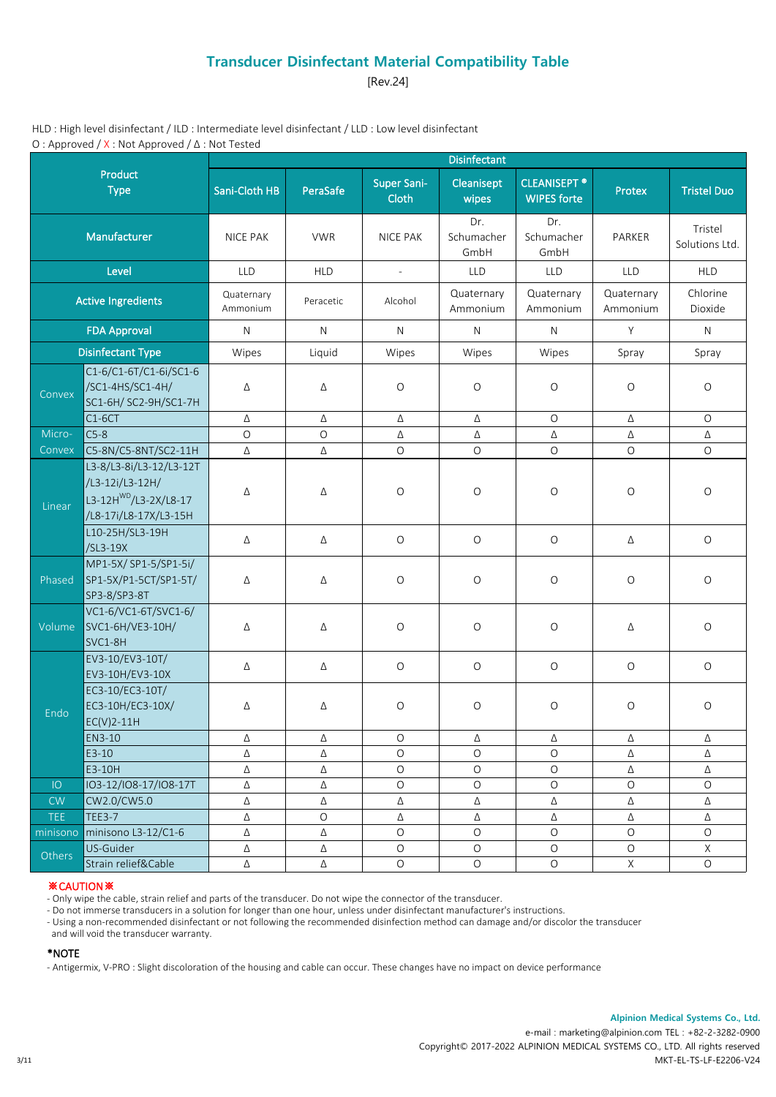[Rev.24]

HLD : High level disinfectant / ILD : Intermediate level disinfectant / LLD : Low level disinfectant O : Approved / X : Not Approved / Δ : Not Tested

|                           |                                                                                                          |                        |            |                             | <b>Disinfectant</b>       |                                           |                        |                           |
|---------------------------|----------------------------------------------------------------------------------------------------------|------------------------|------------|-----------------------------|---------------------------|-------------------------------------------|------------------------|---------------------------|
|                           | Product<br><b>Type</b>                                                                                   | Sani-Cloth HB          | PeraSafe   | <b>Super Sani-</b><br>Cloth | Cleanisept<br>wipes       | <b>CLEANISEPT ®</b><br><b>WIPES forte</b> | Protex                 | <b>Tristel Duo</b>        |
|                           | Manufacturer                                                                                             | <b>NICE PAK</b>        | <b>VWR</b> | <b>NICE PAK</b>             | Dr.<br>Schumacher<br>GmbH | Dr.<br>Schumacher<br>GmbH                 | PARKER                 | Tristel<br>Solutions Ltd. |
|                           | Level                                                                                                    | <b>LLD</b>             | <b>HLD</b> | $\overline{\phantom{a}}$    | LLD                       | LLD                                       | <b>LLD</b>             | <b>HLD</b>                |
| <b>Active Ingredients</b> |                                                                                                          | Quaternary<br>Ammonium | Peracetic  | Alcohol                     | Quaternary<br>Ammonium    | Quaternary<br>Ammonium                    | Quaternary<br>Ammonium | Chlorine<br>Dioxide       |
| <b>FDA Approval</b>       |                                                                                                          | N                      | N          | N                           | N                         | $\mathsf{N}$                              | Y                      | N                         |
|                           | <b>Disinfectant Type</b>                                                                                 | Wipes                  | Liquid     | Wipes                       | Wipes                     | Wipes                                     | Spray                  | Spray                     |
| Convex                    | C1-6/C1-6T/C1-6i/SC1-6<br>/SC1-4HS/SC1-4H/<br>SC1-6H/ SC2-9H/SC1-7H                                      | Δ                      | Δ          | $\circ$                     | $\circ$                   | $\circ$                                   | $\circ$                | O                         |
|                           | $C1-6CT$                                                                                                 | Δ                      | Δ          | Δ                           | Δ                         | $\bigcirc$                                | Δ                      | $\mathsf O$               |
| Micro-                    | $C5-8$                                                                                                   | $\circ$                | $\circ$    | Δ                           | Δ                         | Δ                                         | Δ                      | Δ                         |
| Convex                    | C5-8N/C5-8NT/SC2-11H                                                                                     | $\Delta$               | Δ          | $\circ$                     | $\circ$                   | $\bigcirc$                                | $\mathsf O$            | $\circ$                   |
| Linear                    | L3-8/L3-8i/L3-12/L3-12T<br>/L3-12i/L3-12H/<br>L3-12H <sup>WD</sup> /L3-2X/L8-17<br>/L8-17i/L8-17X/L3-15H | Δ                      | Δ          | $\circ$                     | $\circ$                   | $\circ$                                   | $\circ$                | $\circ$                   |
|                           | L10-25H/SL3-19H<br>/SL3-19X                                                                              | Δ                      | Δ          | $\circ$                     | $\circ$                   | $\circ$                                   | Δ                      | $\circ$                   |
| Phased                    | MP1-5X/ SP1-5/SP1-5i/<br>SP1-5X/P1-5CT/SP1-5T/<br>SP3-8/SP3-8T                                           | Δ                      | Δ          | $\bigcirc$                  | $\bigcirc$                | $\circ$                                   | $\circ$                | O                         |
| Volume                    | VC1-6/VC1-6T/SVC1-6/<br>SVC1-6H/VE3-10H/<br>SVC1-8H                                                      | Δ                      | Δ          | $\bigcirc$                  | $\bigcirc$                | $\circ$                                   | Δ                      | O                         |
|                           | EV3-10/EV3-10T/<br>EV3-10H/EV3-10X                                                                       | Δ                      | Δ          | $\circ$                     | $\circ$                   | $\circ$                                   | $\mathsf O$            | $\mathsf O$               |
| Endo                      | EC3-10/EC3-10T/<br>EC3-10H/EC3-10X/<br>$EC(V)2-11H$                                                      | Δ                      | Δ          | $\circ$                     | $\circ$                   | $\circ$                                   | $\circ$                | $\circ$                   |
|                           | EN3-10                                                                                                   | Δ                      | Δ          | O                           | Δ                         | Δ                                         | Δ                      | Δ                         |
|                           | $E3-10$                                                                                                  | Δ                      | Δ          | $\circ$                     | $\circ$                   | $\circ$                                   | Δ                      | Δ                         |
|                           | E3-10H                                                                                                   | Δ                      | Δ          | $\circ$                     | $\circ$                   | $\circ$                                   | Δ                      | Δ                         |
| IO                        | IO3-12/IO8-17/IO8-17T                                                                                    | Δ                      | Δ          | $\circ$                     | $\circ$                   | $\bigcirc$                                | $\bigcirc$             | $\circ$                   |
| CW                        | CW2.0/CW5.0                                                                                              | Δ                      | Δ          | Δ                           | Δ                         | Δ                                         | Δ                      | Δ                         |
| <b>TEE</b>                | <b>TEE3-7</b>                                                                                            | Δ                      | $\bigcirc$ | Δ                           | Δ                         | Δ                                         | Δ                      | Δ                         |
| minisono                  | minisono L3-12/C1-6                                                                                      | Δ                      | Δ          | $\circ$                     | $\circ$                   | $\circ$                                   | $\circ$                | $\circ$                   |
| Others                    | US-Guider                                                                                                | Δ                      | Δ          | $\bigcirc$                  | $\circ$                   | $\circ$                                   | $\circ$                | X                         |
|                           | Strain relief&Cable                                                                                      | Δ                      | Δ          | $\bigcirc$                  | $\bigcirc$                | $\bigcirc$                                | $\mathsf X$            | $\mathsf O$               |

## ※CAUTION※

- Only wipe the cable, strain relief and parts of the transducer. Do not wipe the connector of the transducer.

- Do not immerse transducers in a solution for longer than one hour, unless under disinfectant manufacturer's instructions.

- Using a non-recommended disinfectant or not following the recommended disinfection method can damage and/or discolor the transducer

and will void the transducer warranty.

#### \*NOTE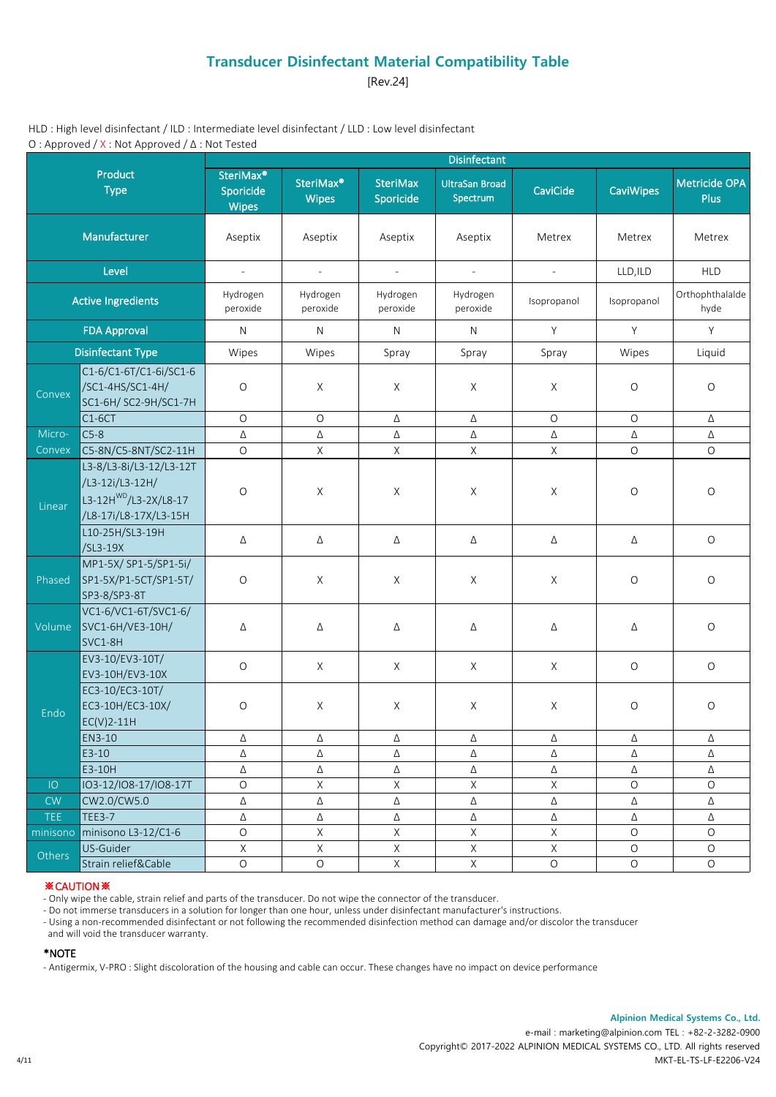[Rev.24]

HLD : High level disinfectant / ILD : Intermediate level disinfectant / LLD : Low level disinfectant O : Approved / X : Not Approved / Δ : Not Tested

|            |                                                                                                          |                                                    |                                       |                              | <b>Disinfectant</b>               |                             |                  |                              |
|------------|----------------------------------------------------------------------------------------------------------|----------------------------------------------------|---------------------------------------|------------------------------|-----------------------------------|-----------------------------|------------------|------------------------------|
|            | Product<br><b>Type</b>                                                                                   | SteriMax <sup>®</sup><br>Sporicide<br><b>Wipes</b> | SteriMax <sup>®</sup><br><b>Wipes</b> | <b>SteriMax</b><br>Sporicide | <b>UltraSan Broad</b><br>Spectrum | CaviCide                    | <b>CaviWipes</b> | Metricide OPA<br><b>Plus</b> |
|            | Manufacturer                                                                                             |                                                    | Aseptix                               | Aseptix                      | Aseptix                           | Metrex                      | Metrex           | Metrex                       |
|            | Level                                                                                                    | $\overline{\phantom{a}}$                           | $\overline{\phantom{a}}$              | $\overline{\phantom{a}}$     | $\overline{\phantom{a}}$          | $\mathcal{L}_{\mathcal{A}}$ | LLD, ILD         | <b>HLD</b>                   |
|            | <b>Active Ingredients</b>                                                                                | Hydrogen<br>peroxide                               | Hydrogen<br>peroxide                  | Hydrogen<br>peroxide         | Hydrogen<br>peroxide              | Isopropanol                 | Isopropanol      | Orthophthalalde<br>hyde      |
|            | <b>FDA Approval</b>                                                                                      | ${\sf N}$                                          | $\mathsf{N}$                          | $\mathsf{N}$                 | $\mathsf{N}$                      | Y                           | Y                | Y                            |
|            | <b>Disinfectant Type</b>                                                                                 | Wipes                                              | Wipes                                 | Spray                        | Spray                             | Spray                       | Wipes            | Liquid                       |
| Convex     | C1-6/C1-6T/C1-6i/SC1-6<br>/SC1-4HS/SC1-4H/<br>SC1-6H/ SC2-9H/SC1-7H                                      | $\circ$                                            | X                                     | X                            | X                                 | X                           | $\circ$          | $\circ$                      |
|            | $C1-6CT$                                                                                                 | $\circ$                                            | $\circ$                               | Δ                            | Δ                                 | $\circ$                     | $\circ$          | Δ                            |
| Micro-     | $C5-8$                                                                                                   | Δ                                                  | Δ                                     | Δ                            | Δ                                 | Δ                           | Δ                | Δ                            |
| Convex     | C5-8N/C5-8NT/SC2-11H                                                                                     | $\circ$                                            | X                                     | $\mathsf{X}$                 | X                                 | X                           | $\circ$          | $\circ$                      |
| Linear     | L3-8/L3-8i/L3-12/L3-12T<br>/L3-12i/L3-12H/<br>L3-12H <sup>WD</sup> /L3-2X/L8-17<br>/L8-17i/L8-17X/L3-15H | $\bigcirc$                                         | $\mathsf X$                           | $\times$                     | X                                 | $\mathsf X$                 | O                | $\circ$                      |
|            | L10-25H/SL3-19H<br>/SL3-19X                                                                              | Δ                                                  | Δ                                     | Δ                            | Δ                                 | Δ                           | Δ                | $\mathsf O$                  |
| Phased     | MP1-5X/ SP1-5/SP1-5i/<br>SP1-5X/P1-5CT/SP1-5T/<br>SP3-8/SP3-8T                                           | $\circ$                                            | X                                     | X                            | X                                 | X                           | O                | $\circ$                      |
| Volume     | VC1-6/VC1-6T/SVC1-6/<br>SVC1-6H/VE3-10H/<br>SVC1-8H                                                      | Δ                                                  | Δ                                     | Δ                            | Δ                                 | Δ                           | Δ                | $\bigcirc$                   |
|            | EV3-10/EV3-10T/<br>EV3-10H/EV3-10X                                                                       | $\bigcirc$                                         | X                                     | X                            | X                                 | $\mathsf{X}$                | $\bigcirc$       | $\mathsf O$                  |
| Endo       | EC3-10/EC3-10T/<br>EC3-10H/EC3-10X/<br>$EC(V)2-11H$                                                      | $\bigcirc$                                         | X                                     | X                            | X                                 | $\times$                    | $\circ$          | $\circ$                      |
|            | EN3-10                                                                                                   | Δ                                                  | Δ                                     | Δ                            | Δ                                 | Δ                           | Δ                | Δ                            |
|            | $E3-10$                                                                                                  | Δ                                                  | Δ                                     | Δ                            | Δ                                 | Δ                           | Δ                | Δ                            |
|            | E3-10H                                                                                                   | Δ                                                  | Δ                                     | Δ                            | Δ                                 | Δ                           | Δ                | Δ                            |
| IO         | IO3-12/IO8-17/IO8-17T                                                                                    | $\mathsf O$                                        | $\mathsf X$                           | Χ                            | $\mathsf X$                       | $\mathsf X$                 | $\bigcirc$       | $\circ$                      |
| CW         | CW2.0/CW5.0                                                                                              | $\Delta$                                           | $\Delta$                              | Δ                            | Δ                                 | $\Delta$                    | Δ                | Δ                            |
| <b>TEE</b> | <b>TEE3-7</b>                                                                                            | Δ                                                  | Δ                                     | Δ                            | Δ                                 | Δ                           | Δ                | Δ                            |
| minisono   | minisono L3-12/C1-6                                                                                      | $\mathsf O$                                        | X                                     | $\mathsf X$                  | $\mathsf X$                       | $\mathsf X$                 | $\circ$          | $\circ$                      |
| Others     | US-Guider                                                                                                | $\mathsf X$                                        | $\mathsf X$                           | $\mathsf X$                  | $\mathsf X$                       | $\mathsf X$                 | $\bigcirc$       | $\circ$                      |
|            | Strain relief&Cable                                                                                      | $\circ$                                            | $\mathsf O$                           | $\mathsf X$                  | $\mathsf X$                       | $\bigcirc$                  | $\bigcirc$       | $\mathsf O$                  |

### ※CAUTION※

- Only wipe the cable, strain relief and parts of the transducer. Do not wipe the connector of the transducer.

- Do not immerse transducers in a solution for longer than one hour, unless under disinfectant manufacturer's instructions.

- Using a non-recommended disinfectant or not following the recommended disinfection method can damage and/or discolor the transducer

and will void the transducer warranty.

#### \*NOTE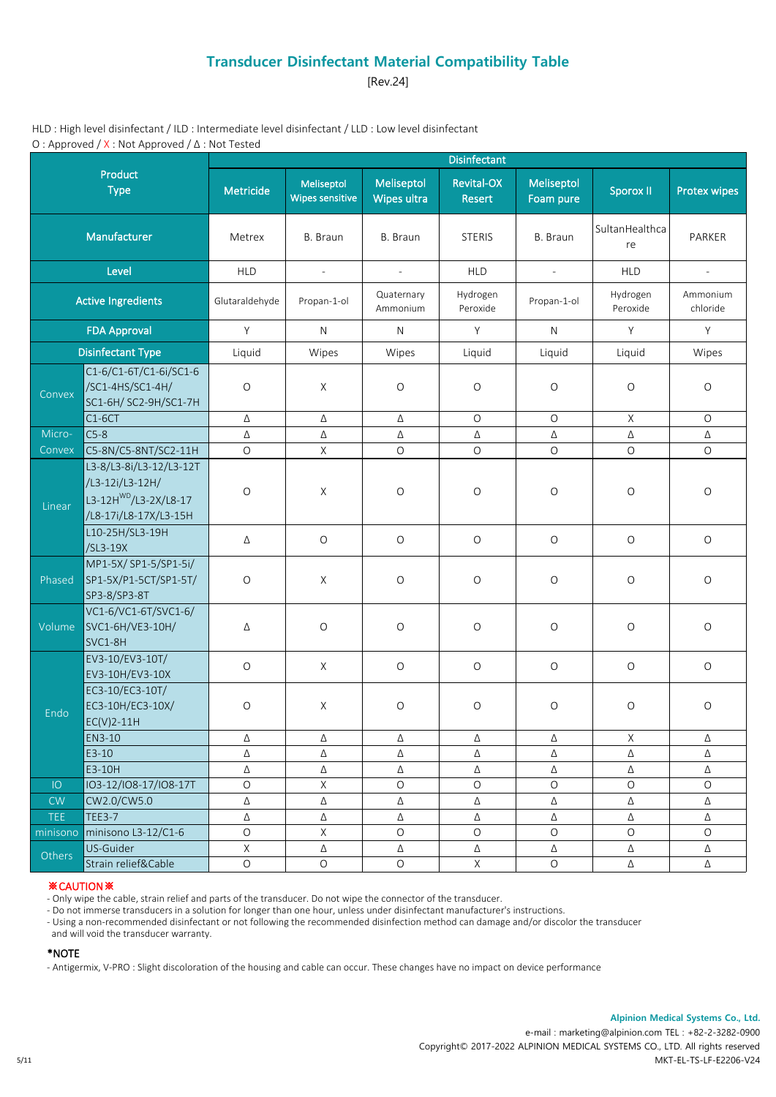[Rev.24]

HLD : High level disinfectant / ILD : Intermediate level disinfectant / LLD : Low level disinfectant O : Approved / X : Not Approved / Δ : Not Tested

|                           |                                                                                                          |                |                                      |                           | <b>Disinfectant</b>         |                         |                      |                      |
|---------------------------|----------------------------------------------------------------------------------------------------------|----------------|--------------------------------------|---------------------------|-----------------------------|-------------------------|----------------------|----------------------|
|                           | Product<br><b>Type</b>                                                                                   | Metricide      | Meliseptol<br><b>Wipes sensitive</b> | Meliseptol<br>Wipes ultra | <b>Revital-OX</b><br>Resert | Meliseptol<br>Foam pure | <b>Sporox II</b>     | <b>Protex wipes</b>  |
|                           | Manufacturer                                                                                             | Metrex         | B. Braun                             | B. Braun                  | <b>STERIS</b>               | B. Braun                | SultanHealthca<br>re | PARKER               |
|                           | Level                                                                                                    | <b>HLD</b>     | $\overline{\phantom{a}}$             | $\overline{\phantom{a}}$  | <b>HLD</b>                  | $\sim$                  | <b>HLD</b>           | $\blacksquare$       |
| <b>Active Ingredients</b> |                                                                                                          | Glutaraldehyde | Propan-1-ol                          | Quaternary<br>Ammonium    | Hydrogen<br>Peroxide        | Propan-1-ol             | Hydrogen<br>Peroxide | Ammonium<br>chloride |
| <b>FDA Approval</b>       |                                                                                                          | Y              | N                                    | N                         | Y                           | N                       | Y                    | Y                    |
| <b>Disinfectant Type</b>  |                                                                                                          | Liquid         | Wipes                                | Wipes                     | Liquid                      | Liquid                  | Liquid               | Wipes                |
| Convex                    | C1-6/C1-6T/C1-6i/SC1-6<br>/SC1-4HS/SC1-4H/<br>SC1-6H/ SC2-9H/SC1-7H                                      | $\circ$        | $\times$                             | $\circ$                   | $\circ$                     | $\circ$                 | $\circ$              | O                    |
|                           | $C1-6CT$                                                                                                 | Δ              | Δ                                    | Δ                         | $\mathsf O$                 | $\bigcirc$              | X                    | $\bigcirc$           |
| Micro-                    | $C5-8$                                                                                                   | Δ              | Δ                                    | Δ                         | Δ                           | Δ                       | Δ                    | Δ                    |
| Convex                    | C5-8N/C5-8NT/SC2-11H                                                                                     | $\circ$        | $\mathsf X$                          | $\mathsf O$               | $\mathsf O$                 | $\bigcirc$              | $\bigcirc$           | $\circ$              |
| Linear                    | L3-8/L3-8i/L3-12/L3-12T<br>/L3-12i/L3-12H/<br>L3-12H <sup>WD</sup> /L3-2X/L8-17<br>/L8-17i/L8-17X/L3-15H | $\circ$        | X                                    | $\circ$                   | $\circ$                     | $\circ$                 | O                    | $\circ$              |
|                           | L10-25H/SL3-19H<br>/SL3-19X                                                                              | Δ              | $\circ$                              | $\circ$                   | $\circ$                     | $\circ$                 | $\circ$              | $\bigcirc$           |
| Phased                    | MP1-5X/ SP1-5/SP1-5i/<br>SP1-5X/P1-5CT/SP1-5T/<br>SP3-8/SP3-8T                                           | $\circ$        | $\times$                             | $\circ$                   | $\circ$                     | $\circ$                 | O                    | $\circ$              |
| Volume                    | VC1-6/VC1-6T/SVC1-6/<br>SVC1-6H/VE3-10H/<br>SVC1-8H                                                      | Δ              | $\bigcirc$                           | $\circ$                   | $\bigcirc$                  | $\bigcirc$              | $\bigcirc$           | $\bigcirc$           |
|                           | EV3-10/EV3-10T/<br>EV3-10H/EV3-10X                                                                       | $\circ$        | $\times$                             | $\circ$                   | $\circ$                     | $\bigcirc$              | $\mathsf O$          | $\mathsf O$          |
| Endo                      | EC3-10/EC3-10T/<br>EC3-10H/EC3-10X/<br>$EC(V)2-11H$                                                      | $\bigcirc$     | $\times$                             | $\bigcirc$                | $\bigcirc$                  | $\circ$                 | $\circ$              | $\circ$              |
|                           | EN3-10                                                                                                   | Δ              | Δ                                    | Δ                         | Δ                           | Δ                       | X                    | Δ                    |
|                           | $E3-10$                                                                                                  | Δ              | Δ                                    | Δ                         | Δ                           | Δ                       | Δ                    | Δ                    |
|                           | E3-10H                                                                                                   | Δ              | Δ                                    | Δ                         | Δ                           | Δ                       | Δ                    | Δ                    |
| IO                        | IO3-12/IO8-17/IO8-17T                                                                                    | $\bigcirc$     | $\mathsf X$                          | $\bigcirc$                | $\bigcirc$                  | $\bigcirc$              | $\bigcirc$           | $\circ$              |
| CW                        | CW2.0/CW5.0                                                                                              | Δ              | Δ                                    | Δ                         | Δ                           | Δ                       | Δ                    | Δ                    |
| <b>TEE</b>                | <b>TEE3-7</b>                                                                                            | Δ              | $\Delta$                             | Δ                         | Δ                           | Δ                       | Δ                    | Δ                    |
| minisono                  | minisono L3-12/C1-6                                                                                      | $\bigcirc$     | $\mathsf X$                          | $\circ$                   | $\circ$                     | $\circ$                 | $\circ$              | $\circ$              |
| Others                    | US-Guider                                                                                                | $\mathsf X$    | Δ                                    | Δ                         | Δ                           | Δ                       | Δ                    | Δ                    |
|                           | Strain relief&Cable                                                                                      | $\mathsf O$    | $\bigcirc$                           | $\bigcirc$                | $\mathsf X$                 | $\hbox{O}$              | Δ                    | Δ                    |

## ※CAUTION※

- Only wipe the cable, strain relief and parts of the transducer. Do not wipe the connector of the transducer.

- Do not immerse transducers in a solution for longer than one hour, unless under disinfectant manufacturer's instructions.

- Using a non-recommended disinfectant or not following the recommended disinfection method can damage and/or discolor the transducer

and will void the transducer warranty.

### \*NOTE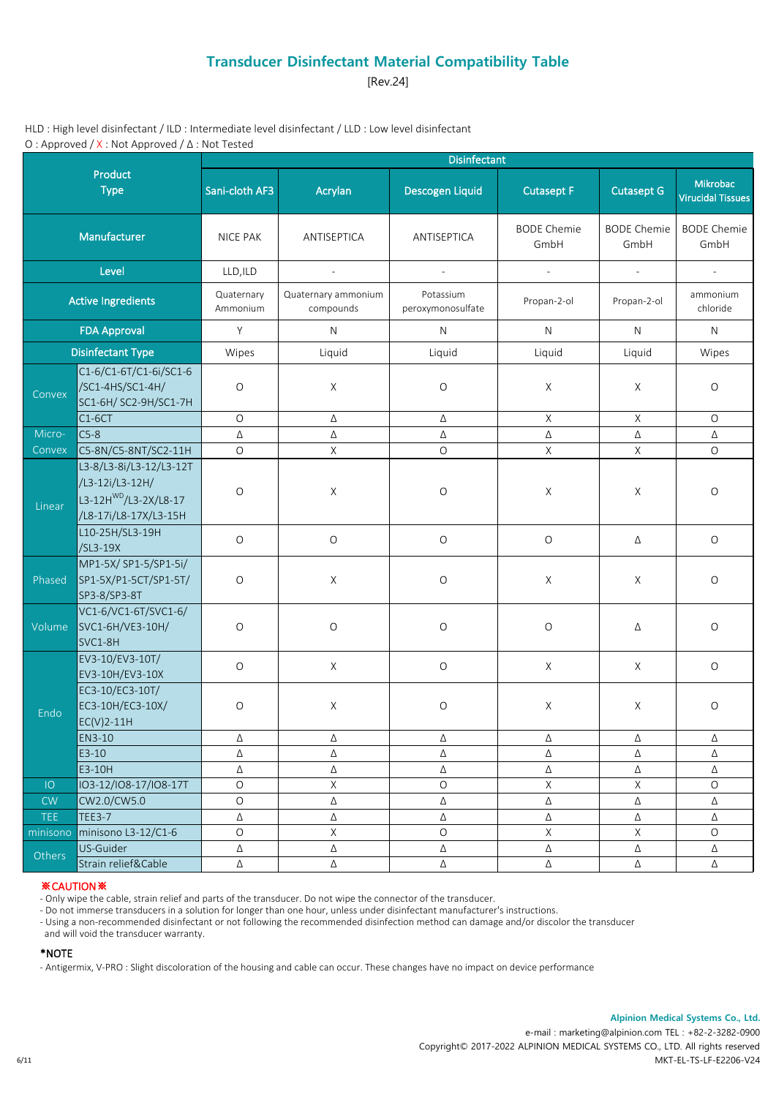[Rev.24]

HLD : High level disinfectant / ILD : Intermediate level disinfectant / LLD : Low level disinfectant O : Approved / X : Not Approved / Δ : Not Tested

|                           |                                                                                                          | Disinfectant           |                                  |                                |                             |                             |                                      |  |  |  |  |
|---------------------------|----------------------------------------------------------------------------------------------------------|------------------------|----------------------------------|--------------------------------|-----------------------------|-----------------------------|--------------------------------------|--|--|--|--|
|                           | Product<br><b>Type</b>                                                                                   | Sani-cloth AF3         | Acrylan                          | Descogen Liquid                | <b>Cutasept F</b>           | <b>Cutasept G</b>           | Mikrobac<br><b>Virucidal Tissues</b> |  |  |  |  |
|                           | Manufacturer                                                                                             | <b>NICE PAK</b>        | ANTISEPTICA                      | ANTISEPTICA                    | <b>BODE Chemie</b><br>GmbH  | <b>BODE Chemie</b><br>GmbH  | <b>BODE Chemie</b><br>GmbH           |  |  |  |  |
|                           | Level                                                                                                    | LLD, ILD               | $\overline{\phantom{0}}$         | $\mathcal{L}$                  | $\mathcal{L}^{\mathcal{A}}$ | $\mathcal{L}_{\mathcal{A}}$ | $\sim$                               |  |  |  |  |
| <b>Active Ingredients</b> |                                                                                                          | Quaternary<br>Ammonium | Quaternary ammonium<br>compounds | Potassium<br>peroxymonosulfate | Propan-2-ol                 | Propan-2-ol                 | ammonium<br>chloride                 |  |  |  |  |
|                           | <b>FDA Approval</b>                                                                                      | Y                      | N<br>$\mathsf{N}$<br>N           |                                |                             | N                           | N                                    |  |  |  |  |
|                           | <b>Disinfectant Type</b>                                                                                 | Wipes                  | Liquid                           | Liquid                         | Liquid                      | Liquid                      | Wipes                                |  |  |  |  |
| Convex                    | C1-6/C1-6T/C1-6i/SC1-6<br>/SC1-4HS/SC1-4H/<br>SC1-6H/ SC2-9H/SC1-7H                                      | $\circ$                | $\mathsf X$                      | $\circ$                        | X                           | X                           | O                                    |  |  |  |  |
|                           | $C1-6CT$                                                                                                 | $\mathsf O$            | Δ                                | Δ                              | X                           | X                           | $\circ$                              |  |  |  |  |
| Micro-                    | $C5-8$                                                                                                   | Δ                      | Δ                                | Δ                              | Δ                           | Δ                           | Δ                                    |  |  |  |  |
| Convex                    | C5-8N/C5-8NT/SC2-11H                                                                                     | $\circ$                | $\mathsf X$                      | $\circ$                        | $\mathsf{X}$                | $\mathsf X$                 | $\circ$                              |  |  |  |  |
| Linear                    | L3-8/L3-8i/L3-12/L3-12T<br>/L3-12i/L3-12H/<br>L3-12H <sup>WD</sup> /L3-2X/L8-17<br>/L8-17i/L8-17X/L3-15H | $\circ$                | $\mathsf X$                      | $\circ$                        | X                           | X                           | O                                    |  |  |  |  |
|                           | L10-25H/SL3-19H<br>/SL3-19X                                                                              | $\mathsf O$            | $\circ$                          | $\mathsf O$                    | $\mathsf O$                 | Δ                           | $\circ$                              |  |  |  |  |
| Phased                    | MP1-5X/ SP1-5/SP1-5i/<br>SP1-5X/P1-5CT/SP1-5T/<br>SP3-8/SP3-8T                                           | $\circ$                | X                                | O                              | X                           | X                           | O                                    |  |  |  |  |
| Volume                    | VC1-6/VC1-6T/SVC1-6/<br>SVC1-6H/VE3-10H/<br>SVC1-8H                                                      | $\circ$                | $\circ$                          | $\circ$                        | $\circ$                     | Δ                           | O                                    |  |  |  |  |
|                           | EV3-10/EV3-10T/<br>EV3-10H/EV3-10X                                                                       | $\mathsf O$            | $\mathsf{X}$                     | $\mathsf O$                    | $\mathsf{X}$                | $\mathsf{X}$                | $\mathsf O$                          |  |  |  |  |
| Endo                      | EC3-10/EC3-10T/<br>EC3-10H/EC3-10X/<br>$EC(V)2-11H$                                                      | $\circ$                | $\times$                         | $\circ$                        | X                           | Χ                           | O                                    |  |  |  |  |
|                           | EN3-10                                                                                                   | Δ                      | Δ                                | Δ                              | Δ                           | Δ                           | Δ                                    |  |  |  |  |
|                           | E3-10                                                                                                    | Δ                      | Δ                                | Δ                              | $\Delta$                    | Δ                           | $\Delta$                             |  |  |  |  |
|                           | E3-10H                                                                                                   | Δ                      | Δ                                | Δ                              | Δ                           | Δ                           | Δ                                    |  |  |  |  |
| IO                        | IO3-12/IO8-17/IO8-17T                                                                                    | $\mathsf O$            | $\mathsf X$                      | $\circ$                        | $\mathsf X$                 | $\mathsf X$                 | $\hbox{O}$                           |  |  |  |  |
| CW                        | CW2.0/CW5.0                                                                                              | $\mathsf O$            | Δ                                | Δ                              | $\Delta$                    | Δ                           | Δ                                    |  |  |  |  |
| <b>TEE</b>                | <b>TEE3-7</b>                                                                                            | Δ                      | Δ                                | Δ                              | Δ                           | Δ                           | Δ                                    |  |  |  |  |
| minisono                  | minisono L3-12/C1-6                                                                                      | $\mathsf O$            | $\mathsf X$                      | $\circ$                        | $\mathsf X$                 | X                           | $\circ$                              |  |  |  |  |
| Others                    | US-Guider                                                                                                | Δ                      | Δ                                | Δ                              | Δ                           | Δ                           | Δ                                    |  |  |  |  |
|                           | Strain relief&Cable                                                                                      | $\Delta$               | Δ                                | $\Delta$                       | Δ                           | Δ                           | Δ                                    |  |  |  |  |

### ※CAUTION※

- Only wipe the cable, strain relief and parts of the transducer. Do not wipe the connector of the transducer.

- Do not immerse transducers in a solution for longer than one hour, unless under disinfectant manufacturer's instructions.

- Using a non-recommended disinfectant or not following the recommended disinfection method can damage and/or discolor the transducer

and will void the transducer warranty.

### \*NOTE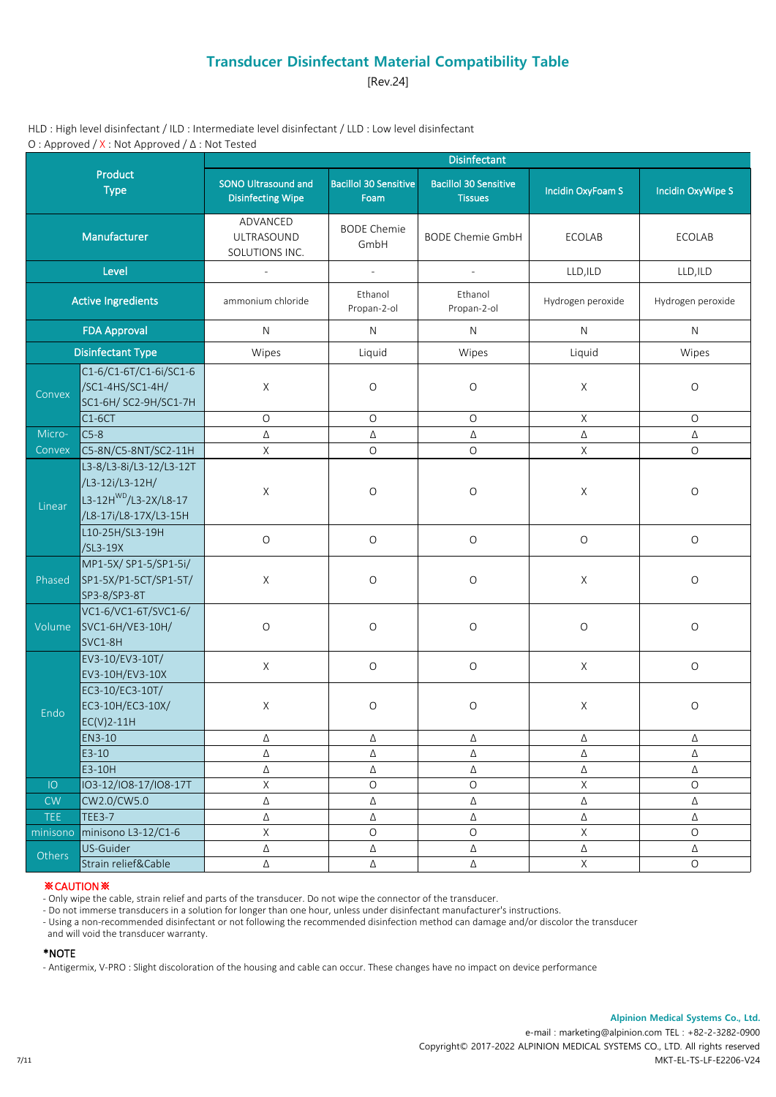[Rev.24]

HLD : High level disinfectant / ILD : Intermediate level disinfectant / LLD : Low level disinfectant O : Approved / X : Not Approved / Δ : Not Tested

|            |                                                                                                          |                                                        |                                      | <b>Disinfectant</b>                            |                          |                   |
|------------|----------------------------------------------------------------------------------------------------------|--------------------------------------------------------|--------------------------------------|------------------------------------------------|--------------------------|-------------------|
|            | Product<br><b>Type</b>                                                                                   | <b>SONO Ultrasound and</b><br><b>Disinfecting Wipe</b> | <b>Bacillol 30 Sensitive</b><br>Foam | <b>Bacillol 30 Sensitive</b><br><b>Tissues</b> | <b>Incidin OxyFoam S</b> | Incidin OxyWipe S |
|            | Manufacturer                                                                                             | ADVANCED<br>ULTRASOUND<br>SOLUTIONS INC.               | <b>BODE Chemie</b><br>GmbH           | <b>BODE Chemie GmbH</b>                        | <b>ECOLAB</b>            | ECOLAB            |
|            | Level                                                                                                    |                                                        | $\mathbb{L}$                         | $\mathcal{L}$                                  | LLD, ILD                 | LLD, ILD          |
|            | <b>Active Ingredients</b>                                                                                | ammonium chloride                                      | Ethanol<br>Propan-2-ol               | Ethanol<br>Propan-2-ol                         | Hydrogen peroxide        | Hydrogen peroxide |
|            | <b>FDA Approval</b>                                                                                      | $\mathsf{N}$                                           | N                                    | $\mathsf{N}$                                   | N                        | N.                |
|            | <b>Disinfectant Type</b>                                                                                 | Wipes                                                  | Liquid                               | Wipes                                          | Liquid                   | Wipes             |
| Convex     | C1-6/C1-6T/C1-6i/SC1-6<br>/SC1-4HS/SC1-4H/<br>SC1-6H/ SC2-9H/SC1-7H                                      | $\mathsf{X}$                                           | $\circ$                              | $\bigcirc$                                     | $\mathsf{X}$             | $\bigcirc$        |
|            | $C1-6CT$                                                                                                 | $\circ$                                                | $\circ$                              | O                                              | $\mathsf{X}$             | $\circ$           |
| Micro-     | $C5-8$                                                                                                   | Δ                                                      | Δ                                    | Δ                                              | Δ                        | Δ                 |
| Convex     | C5-8N/C5-8NT/SC2-11H                                                                                     | $\mathsf X$                                            | $\circ$                              | $\circ$                                        | $\mathsf X$              | $\circ$           |
| Linear     | L3-8/L3-8i/L3-12/L3-12T<br>/L3-12i/L3-12H/<br>L3-12H <sup>WD</sup> /L3-2X/L8-17<br>/L8-17i/L8-17X/L3-15H | X                                                      | $\circ$                              | $\bigcirc$                                     | X                        | $\circ$           |
|            | L10-25H/SL3-19H<br>/SL3-19X                                                                              | $\mathsf O$                                            | $\mathsf O$                          | $\mathsf O$                                    | $\circ$                  | $\bigcirc$        |
| Phased     | MP1-5X/ SP1-5/SP1-5i/<br>SP1-5X/P1-5CT/SP1-5T/<br>SP3-8/SP3-8T                                           | $\mathsf X$                                            | $\circ$                              | O                                              | $\mathsf X$              | $\bigcirc$        |
| Volume     | VC1-6/VC1-6T/SVC1-6/<br>SVC1-6H/VE3-10H/<br>SVC1-8H                                                      | $\mathsf O$                                            | $\bigcirc$                           | O                                              | $\mathsf O$              | $\bigcirc$        |
|            | EV3-10/EV3-10T/<br>EV3-10H/EV3-10X                                                                       | $\mathsf{X}$                                           | $\mathsf O$                          | $\mathsf O$                                    | $\mathsf{X}$             | $\bigcirc$        |
| Endo       | EC3-10/EC3-10T/<br>EC3-10H/EC3-10X/<br>$EC(V)2-11H$                                                      | X                                                      | $\circ$                              | O                                              | X                        | $\bigcirc$        |
|            | EN3-10                                                                                                   | Δ                                                      | Δ                                    | Δ                                              | Δ                        | Δ                 |
|            | $E3-10$                                                                                                  | Δ                                                      | Δ                                    | Δ                                              | Δ                        | Δ                 |
|            | E3-10H                                                                                                   | Δ                                                      | Δ                                    | Δ                                              | Δ                        | Δ                 |
| IO         | IO3-12/IO8-17/IO8-17T                                                                                    | $\mathsf X$                                            | $\mathsf O$                          | O                                              | $\mathsf X$              | $\bigcirc$        |
| ${\sf CW}$ | CW2.0/CW5.0                                                                                              | Δ                                                      | Δ                                    | $\Delta$                                       | $\Delta$                 | Δ                 |
| <b>TEE</b> | <b>TEE3-7</b>                                                                                            | Δ                                                      | Δ                                    | $\Delta$                                       | Δ                        | Δ                 |
| minisono   | minisono L3-12/C1-6                                                                                      | $\mathsf X$                                            | $\mathsf O$                          | O                                              | $\mathsf X$              | $\bigcirc$        |
| Others     | US-Guider                                                                                                | Δ                                                      | Δ                                    | $\Delta$                                       | Δ                        | Δ                 |
|            | Strain relief&Cable                                                                                      | $\Delta$                                               | Δ                                    | $\Delta$                                       | $\mathsf X$              | $\bigcirc$        |

### ※CAUTION※

- Only wipe the cable, strain relief and parts of the transducer. Do not wipe the connector of the transducer.

- Do not immerse transducers in a solution for longer than one hour, unless under disinfectant manufacturer's instructions.

- Using a non-recommended disinfectant or not following the recommended disinfection method can damage and/or discolor the transducer

and will void the transducer warranty.

#### \*NOTE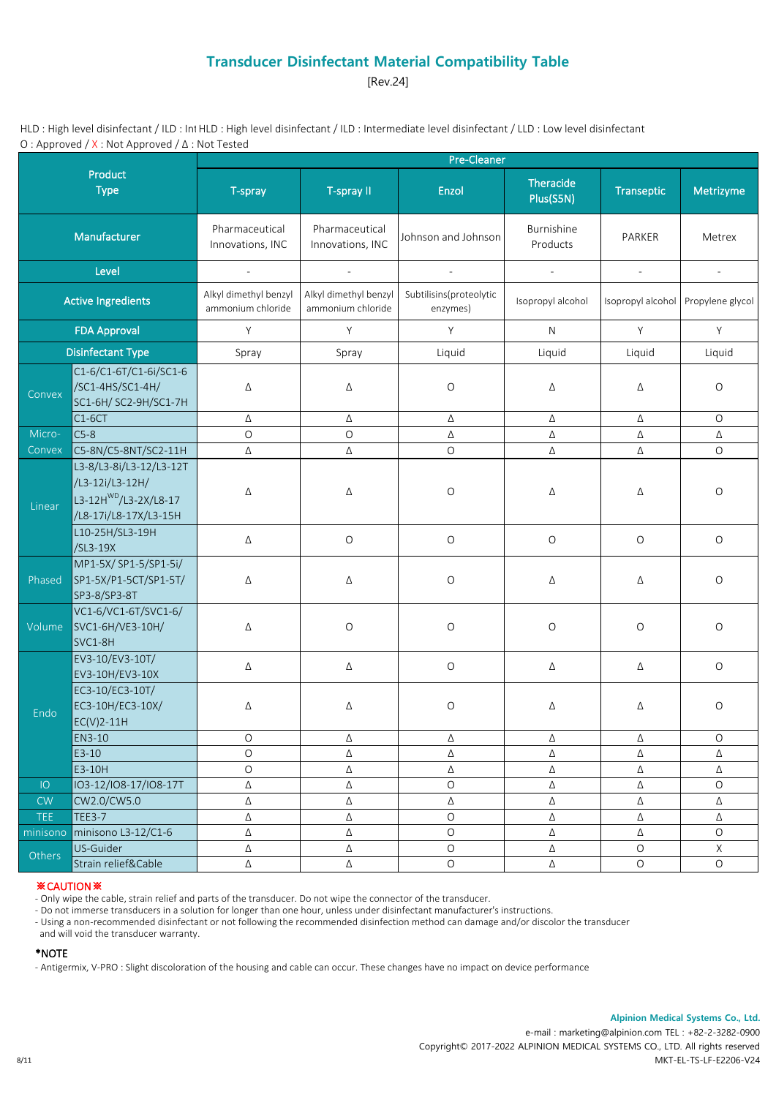[Rev.24]

HLD : High level disinfectant / ILD : Int HLD : High level disinfectant / ILD : Intermediate level disinfectant / LLD : Low level disinfectant O : Approved / X : Not Approved / Δ : Not Tested

|                           |                                                                                                          |                                            |                                            | <b>Pre-Cleaner</b>                  |                               |                   |                          |
|---------------------------|----------------------------------------------------------------------------------------------------------|--------------------------------------------|--------------------------------------------|-------------------------------------|-------------------------------|-------------------|--------------------------|
|                           | Product<br><b>Type</b>                                                                                   | T-spray                                    | T-spray II                                 | Enzol                               | <b>Theracide</b><br>Plus(S5N) | <b>Transeptic</b> | Metrizyme                |
|                           | Manufacturer                                                                                             | Pharmaceutical<br>Innovations, INC         | Pharmaceutical<br>Innovations, INC         | Johnson and Johnson                 | Burnishine<br>Products        | PARKER            | Metrex                   |
|                           | Level                                                                                                    | $\sim$                                     | $\mathcal{L}$                              | $\sim$                              | $\mathbb{Z}^2$                | $\sim$            | $\overline{\phantom{a}}$ |
| <b>Active Ingredients</b> |                                                                                                          | Alkyl dimethyl benzyl<br>ammonium chloride | Alkyl dimethyl benzyl<br>ammonium chloride | Subtilisins(proteolytic<br>enzymes) | Isopropyl alcohol             | Isopropyl alcohol | Propylene glycol         |
| <b>FDA Approval</b>       |                                                                                                          | Y<br>Y                                     |                                            | Y                                   | N                             | Y                 | Y                        |
| <b>Disinfectant Type</b>  |                                                                                                          | Spray                                      | Spray                                      | Liquid                              | Liquid                        | Liquid            | Liquid                   |
| Convex                    | C1-6/C1-6T/C1-6i/SC1-6<br>/SC1-4HS/SC1-4H/<br>SC1-6H/ SC2-9H/SC1-7H                                      | Δ                                          | Δ                                          | $\circ$                             | Δ                             | Δ                 | $\circ$                  |
|                           | $C1-6CT$                                                                                                 | Δ                                          | Δ                                          | Δ                                   | Δ                             | Δ                 | $\circ$                  |
| Micro-                    | $C5-8$                                                                                                   | $\circ$                                    | $\circ$                                    | Δ                                   | Δ                             | Δ                 | Δ                        |
| Convex                    | C5-8N/C5-8NT/SC2-11H                                                                                     | Δ                                          | Δ                                          | $\circ$                             | Δ                             | Δ                 | $\circ$                  |
| Linear                    | L3-8/L3-8i/L3-12/L3-12T<br>/L3-12i/L3-12H/<br>L3-12H <sup>WD</sup> /L3-2X/L8-17<br>/L8-17i/L8-17X/L3-15H | Δ                                          | Δ                                          | O                                   | Δ                             | Δ                 | $\circ$                  |
|                           | L10-25H/SL3-19H<br>/SL3-19X                                                                              | Δ                                          | $\bigcirc$                                 | $\mathsf O$                         | $\bigcirc$                    | $\circ$           | $\bigcirc$               |
| Phased                    | MP1-5X/ SP1-5/SP1-5i/<br>SP1-5X/P1-5CT/SP1-5T/<br>SP3-8/SP3-8T                                           | Δ                                          | Δ                                          | O                                   | Δ                             | Δ                 | $\circ$                  |
| Volume                    | VC1-6/VC1-6T/SVC1-6/<br>SVC1-6H/VE3-10H/<br>SVC1-8H                                                      | Δ                                          | $\mathsf O$                                | $\mathsf O$                         | $\bigcirc$                    | $\circ$           | $\circ$                  |
|                           | EV3-10/EV3-10T/<br>EV3-10H/EV3-10X                                                                       | Δ                                          | Δ                                          | $\mathsf O$                         | Δ                             | Δ                 | $\circ$                  |
| Endo                      | EC3-10/EC3-10T/<br>EC3-10H/EC3-10X/<br>$EC(V)2-11H$                                                      | Δ                                          | Δ                                          | $\bigcirc$                          | Δ                             | Δ                 | $\circ$                  |
|                           | EN3-10                                                                                                   | O                                          | Δ                                          | Δ                                   | Δ                             | Δ                 | O                        |
|                           | $E3-10$                                                                                                  | O                                          | Δ                                          | Δ                                   | Δ                             | Δ                 | Δ                        |
|                           | E3-10H                                                                                                   | $\circ$                                    | Δ                                          | Δ                                   | Δ                             | Δ                 | Δ                        |
| IO                        | IO3-12/IO8-17/IO8-17T                                                                                    | Δ                                          | Δ                                          | $\hbox{O}$                          | Δ                             | Δ                 | $\circ$                  |
| ${\sf CW}$                | CW2.0/CW5.0                                                                                              | $\Delta$                                   | Δ                                          | $\Delta$                            | Δ                             | $\Delta$          | $\Delta$                 |
| <b>TEE</b>                | <b>TEE3-7</b>                                                                                            | Δ                                          | Δ                                          | $\bigcirc$                          | Δ                             | $\Delta$          | Δ                        |
| minisono                  | minisono L3-12/C1-6                                                                                      | Δ                                          | Δ                                          | $\bigcirc$                          | Δ                             | Δ                 | $\circ$                  |
| Others                    | US-Guider                                                                                                | Δ                                          | $\Delta$                                   | $\bigcirc$                          | $\Delta$                      | $\mathsf O$       | $\mathsf X$              |
|                           | Strain relief&Cable                                                                                      | $\Delta$                                   | $\Delta$                                   | $\bigcirc$                          | $\Delta$                      | $\mathsf O$       | $\circ$                  |

### ※CAUTION※

- Only wipe the cable, strain relief and parts of the transducer. Do not wipe the connector of the transducer.

- Do not immerse transducers in a solution for longer than one hour, unless under disinfectant manufacturer's instructions.

- Using a non-recommended disinfectant or not following the recommended disinfection method can damage and/or discolor the transducer

and will void the transducer warranty.

### \*NOTE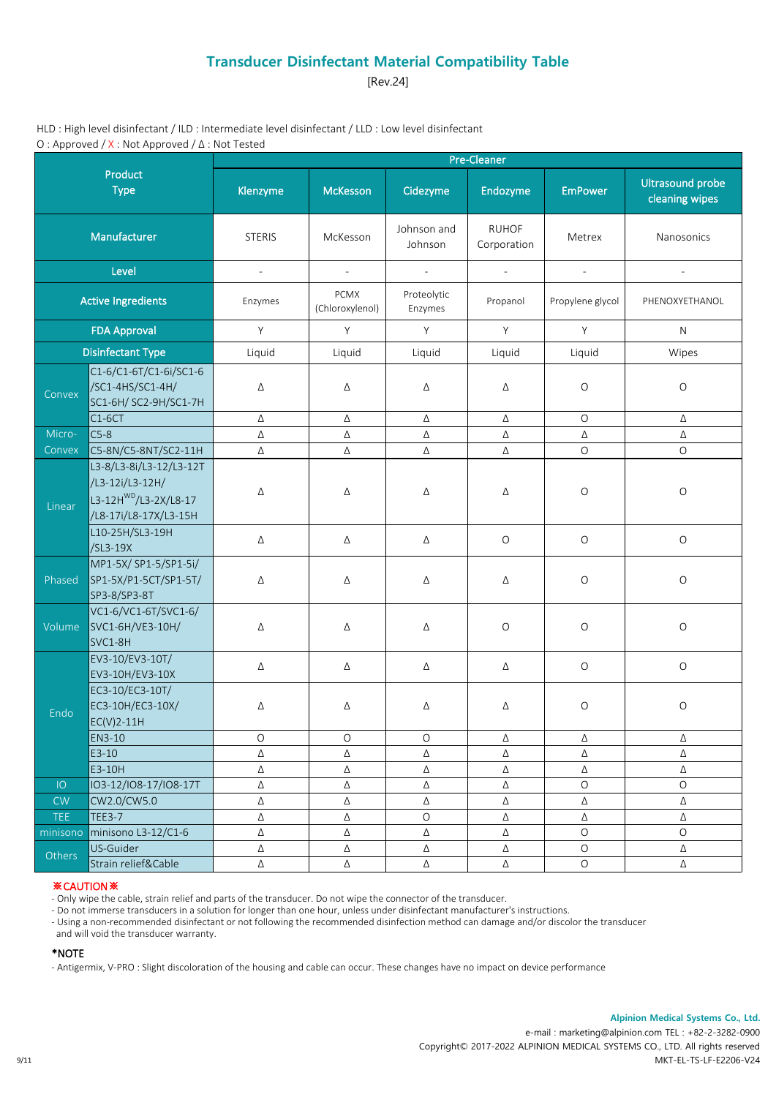[Rev.24]

HLD : High level disinfectant / ILD : Intermediate level disinfectant / LLD : Low level disinfectant O : Approved / X : Not Approved / Δ : Not Tested

|                          |                                                                                                          |                     |                                |                             | Pre-Cleaner                 |                  |                                           |
|--------------------------|----------------------------------------------------------------------------------------------------------|---------------------|--------------------------------|-----------------------------|-----------------------------|------------------|-------------------------------------------|
|                          | Product<br><b>Type</b>                                                                                   | Klenzyme            | <b>McKesson</b>                | Cidezyme                    | Endozyme                    | <b>EmPower</b>   | <b>Ultrasound probe</b><br>cleaning wipes |
|                          | Manufacturer                                                                                             | <b>STERIS</b>       | McKesson                       | Johnson and<br>Johnson      | <b>RUHOF</b><br>Corporation | Metrex           | Nanosonics                                |
|                          | Level                                                                                                    | $\mathcal{L}^{\pm}$ | $\mathcal{L}$                  | $\mathcal{L}^{\mathcal{A}}$ | $\mathbb{Z}^{\mathbb{Z}}$   | $\mathbb{L}$     | $\overline{\phantom{a}}$                  |
|                          | <b>Active Ingredients</b>                                                                                | Enzymes             | <b>PCMX</b><br>(Chloroxylenol) | Proteolytic<br>Enzymes      | Propanol                    | Propylene glycol | PHENOXYETHANOL                            |
|                          | <b>FDA Approval</b>                                                                                      | Y                   | Y                              | Y                           | Y                           | Y                | N                                         |
| <b>Disinfectant Type</b> |                                                                                                          | Liquid              | Liquid                         | Liquid                      | Liquid                      | Liquid           | Wipes                                     |
| Convex                   | C1-6/C1-6T/C1-6i/SC1-6<br>/SC1-4HS/SC1-4H/<br>SC1-6H/ SC2-9H/SC1-7H                                      | Δ                   | Δ                              | Δ                           | Δ                           | $\circ$          | $\circ$                                   |
|                          | $C1-6CT$                                                                                                 | Δ                   | Δ                              | Δ                           | Δ                           | $\mathsf O$      | Δ                                         |
| Micro-                   | $C5-8$                                                                                                   | Δ                   | $\Delta$                       | Δ                           | Δ                           | Δ                | Δ                                         |
| Convex                   | C5-8N/C5-8NT/SC2-11H                                                                                     | Δ                   | Δ                              | Δ                           | Δ                           | $\circ$          | $\circ$                                   |
| Linear                   | L3-8/L3-8i/L3-12/L3-12T<br>/L3-12i/L3-12H/<br>L3-12H <sup>WD</sup> /L3-2X/L8-17<br>/L8-17i/L8-17X/L3-15H | Δ                   | Δ                              | Δ                           | Δ                           | $\circ$          | $\bigcirc$                                |
|                          | L10-25H/SL3-19H<br>/SL3-19X                                                                              | Δ                   | Δ                              | Δ                           | $\circ$                     | $\mathsf O$      | $\bigcirc$                                |
| Phased                   | MP1-5X/ SP1-5/SP1-5i/<br>SP1-5X/P1-5CT/SP1-5T/<br>SP3-8/SP3-8T                                           | Δ                   | Δ                              | Δ                           | Δ                           | $\circ$          | $\circ$                                   |
| Volume                   | VC1-6/VC1-6T/SVC1-6/<br>SVC1-6H/VE3-10H/<br>SVC1-8H                                                      | Δ                   | Δ                              | Δ                           | $\bigcirc$                  | $\bigcirc$       | $\circ$                                   |
|                          | EV3-10/EV3-10T/<br>EV3-10H/EV3-10X                                                                       | Δ                   | Δ                              | Δ                           | Δ                           | $\mathcal O$     | $\hbox{O}$                                |
| Endo                     | EC3-10/EC3-10T/<br>EC3-10H/EC3-10X/<br>$EC(V)2-11H$                                                      | Δ                   | Δ                              | Δ                           | Δ                           | $\bigcirc$       | $\circ$                                   |
|                          | EN3-10                                                                                                   | Ő                   | Ő                              | $\circ$                     | Δ                           | Δ                | Δ                                         |
|                          | E3-10                                                                                                    | Δ                   | Δ                              | Δ                           | Δ                           | Δ                | Δ                                         |
|                          | E3-10H                                                                                                   | Δ                   | Δ                              | Δ                           | Δ                           | $\Delta$         | Δ                                         |
| IO                       | IO3-12/IO8-17/IO8-17T                                                                                    | Δ                   | Δ                              | Δ                           | Δ                           | $\bigcirc$       | $\circ$                                   |
| ${\sf CW}$               | CW2.0/CW5.0                                                                                              | Δ                   | Δ                              | Δ                           | Δ                           | Δ                | Δ                                         |
| <b>TEE</b>               | <b>TEE3-7</b>                                                                                            | Δ                   | Δ                              | $\circ$                     | Δ                           | Δ                | Δ                                         |
| minisono                 | minisono L3-12/C1-6                                                                                      | Δ                   | Δ                              | Δ                           | Δ                           | $\mathcal O$     | $\circ$                                   |
| Others                   | US-Guider                                                                                                | Δ                   | Δ                              | Δ                           | $\Delta$                    | $\bigcirc$       | Δ                                         |
|                          | Strain relief&Cable                                                                                      | $\Delta$            | $\Delta$                       | Δ                           | Δ                           | $\bigcirc$       | Δ                                         |

### ※CAUTION※

- Only wipe the cable, strain relief and parts of the transducer. Do not wipe the connector of the transducer.

- Do not immerse transducers in a solution for longer than one hour, unless under disinfectant manufacturer's instructions.

- Using a non-recommended disinfectant or not following the recommended disinfection method can damage and/or discolor the transducer

and will void the transducer warranty.

#### \*NOTE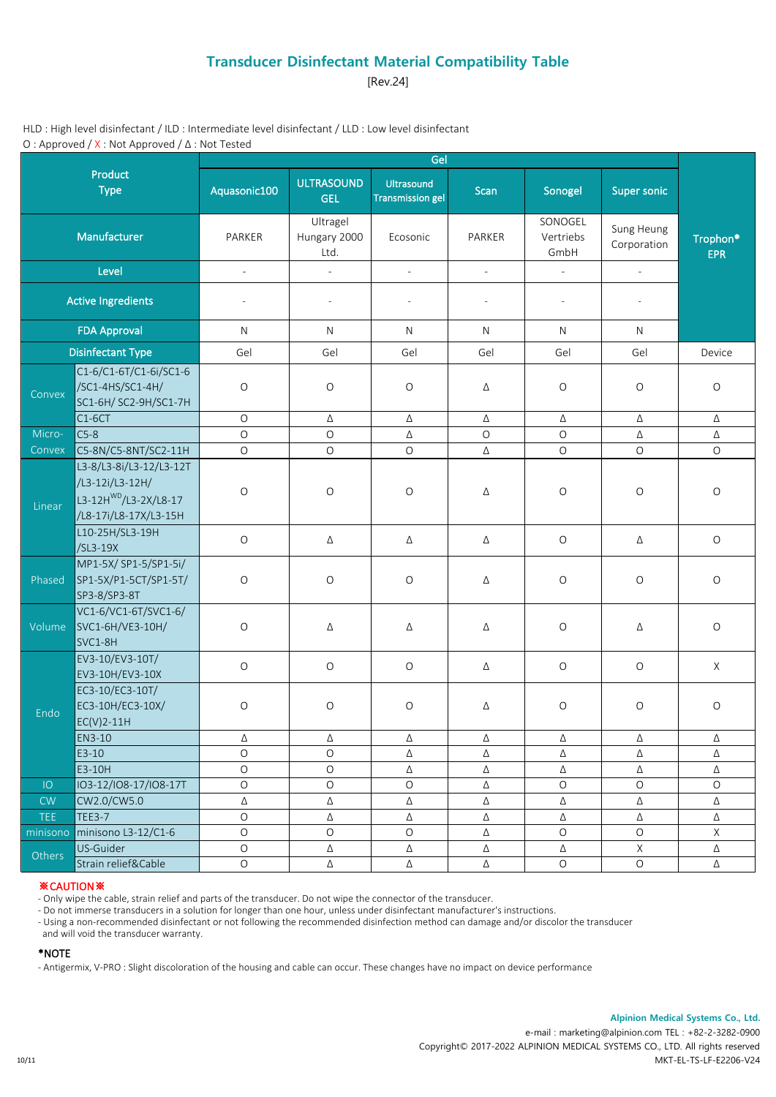[Rev.24]

HLD : High level disinfectant / ILD : Intermediate level disinfectant / LLD : Low level disinfectant O : Approved / X : Not Approved / Δ : Not Tested

|                           |                                                                                                          |                          |                                  | Gel                                   |                          |                              |                           |                                    |
|---------------------------|----------------------------------------------------------------------------------------------------------|--------------------------|----------------------------------|---------------------------------------|--------------------------|------------------------------|---------------------------|------------------------------------|
|                           | Product<br><b>Type</b>                                                                                   | Aquasonic100             | <b>ULTRASOUND</b><br><b>GEL</b>  | Ultrasound<br><b>Transmission gel</b> | Scan                     | Sonogel                      | <b>Super sonic</b>        |                                    |
|                           | Manufacturer                                                                                             | PARKER                   | Ultragel<br>Hungary 2000<br>Ltd. | Ecosonic                              | PARKER                   | SONOGEL<br>Vertriebs<br>GmbH | Sung Heung<br>Corporation | Trophon <sup>®</sup><br><b>EPR</b> |
|                           | Level                                                                                                    | $\overline{\phantom{a}}$ | $\overline{a}$                   | $\mathcal{L}$                         | $\overline{\phantom{a}}$ | $\mathcal{L}^{\mathcal{A}}$  | $\Box$                    |                                    |
| <b>Active Ingredients</b> |                                                                                                          | $\overline{\phantom{a}}$ | $\overline{\phantom{a}}$         | $\sim$                                | $\sim$                   | $\overline{\phantom{a}}$     | $\overline{\phantom{a}}$  |                                    |
| <b>FDA Approval</b>       |                                                                                                          | N                        | $\mathsf{N}$                     | N                                     | $\mathsf{N}$             | $\mathsf{N}$                 | ${\sf N}$                 |                                    |
|                           | <b>Disinfectant Type</b>                                                                                 | Gel                      | Gel                              | Gel                                   | Gel                      | Gel                          | Gel                       | Device                             |
| Convex                    | C1-6/C1-6T/C1-6i/SC1-6<br>/SC1-4HS/SC1-4H/<br>SC1-6H/ SC2-9H/SC1-7H                                      | $\circ$                  | $\circ$                          | $\mathsf O$                           | Δ                        | O                            | $\circ$                   | $\mathsf O$                        |
|                           | $C1-6CT$                                                                                                 | $\circ$                  | Δ                                | Δ                                     | Δ                        | Δ                            | Δ                         | Δ                                  |
| Micro-                    | $C5-8$                                                                                                   | $\circ$                  | $\circ$                          | Δ                                     | $\circ$                  | $\circ$                      | Δ                         | Δ                                  |
| Convex                    | C5-8N/C5-8NT/SC2-11H                                                                                     | $\circ$                  | $\mathsf O$                      | $\circ$                               | Δ                        | $\mathsf O$                  | $\circ$                   | $\circ$                            |
| Linear                    | L3-8/L3-8i/L3-12/L3-12T<br>/L3-12i/L3-12H/<br>L3-12H <sup>WD</sup> /L3-2X/L8-17<br>/L8-17i/L8-17X/L3-15H | $\circ$                  | $\circ$                          | $\mathsf O$                           | Δ                        | $\mathsf O$                  | $\circ$                   | $\circ$                            |
|                           | L10-25H/SL3-19H<br>$/SL3-19X$                                                                            | $\bigcirc$               | Δ                                | Δ                                     | Δ                        | $\mathsf O$                  | Δ                         | $\mathsf O$                        |
| Phased                    | MP1-5X/ SP1-5/SP1-5i/<br>SP1-5X/P1-5CT/SP1-5T/<br>SP3-8/SP3-8T                                           | $\circ$                  | $\mathsf O$                      | $\circ$                               | Δ                        | O                            | $\mathsf O$               | $\circ$                            |
| Volume                    | VC1-6/VC1-6T/SVC1-6/<br>SVC1-6H/VE3-10H/<br>SVC1-8H                                                      | $\bigcirc$               | Δ                                | Δ                                     | Δ                        | $\mathsf O$                  | Δ                         | $\circ$                            |
|                           | EV3-10/EV3-10T/<br>EV3-10H/EV3-10X                                                                       | $\bigcirc$               | $\mathsf O$                      | $\bigcirc$                            | Δ                        | $\mathsf O$                  | $\circ$                   | $\mathsf{X}$                       |
| Endo                      | EC3-10/EC3-10T/<br>EC3-10H/EC3-10X/<br>$EC(V)2-11H$                                                      | $\bigcirc$               | $\circ$                          | $\bigcirc$                            | Δ                        | $\circ$                      | $\circ$                   | $\mathsf O$                        |
|                           | EN3-10                                                                                                   | Δ                        | Δ                                | Δ                                     | Δ                        | Δ                            | Δ                         | Δ                                  |
|                           | E3-10                                                                                                    | $\bigcirc$               | $\mathsf O$                      | Δ                                     | Δ                        | Δ                            | Δ                         | Δ                                  |
|                           | E3-10H                                                                                                   | $\bigcirc$               | $\bigcirc$                       | Δ                                     | Δ                        | Δ                            | Δ                         | Δ                                  |
| IO                        | IO3-12/IO8-17/IO8-17T                                                                                    | $\bigcirc$               | $\mathsf O$                      | $\bigcirc$                            | Δ                        | $\mathsf O$                  | $\mathsf O$               | $\circ$                            |
| CW                        | CW2.0/CW5.0                                                                                              | Δ                        | Δ                                | Δ                                     | Δ                        | Δ                            | Δ                         | Δ                                  |
| <b>TEE</b>                | <b>TEE3-7</b>                                                                                            | $\bigcirc$               | Δ                                | Δ                                     | Δ                        | Δ                            | Δ                         | Δ                                  |
| minisono                  | minisono L3-12/C1-6                                                                                      | $\bigcirc$               | $\circ$                          | $\circ$                               | Δ                        | $\mathsf O$                  | $\mathsf O$               | $\mathsf{X}$                       |
| Others                    | US-Guider                                                                                                | $\bigcirc$               | Δ                                | Δ                                     | Δ                        | Δ                            | $\mathsf X$               | Δ                                  |
|                           | Strain relief&Cable                                                                                      | $\mathsf O$              | $\Delta$                         | Δ                                     | $\Delta$                 | $\mathsf O$                  | $\bigcirc$                | $\Delta$                           |

### ※CAUTION※

- Only wipe the cable, strain relief and parts of the transducer. Do not wipe the connector of the transducer.

- Do not immerse transducers in a solution for longer than one hour, unless under disinfectant manufacturer's instructions.

- Using a non-recommended disinfectant or not following the recommended disinfection method can damage and/or discolor the transducer

and will void the transducer warranty.

#### \*NOTE